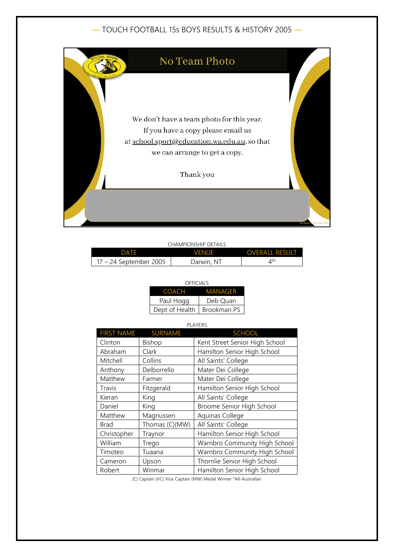## — TOUCH FOOTBALL 15s BOYS RESULTS & HISTORY 2005 —



| CHAMPIONSHIP DETAILS   |              |                           |  |
|------------------------|--------------|---------------------------|--|
| <b>DATE</b>            | <b>VENUE</b> | <b>OVERALL RESULT</b>     |  |
| 17 – 24 September 2005 | Darwin, NT   | $\mathcal{A}^{\text{th}}$ |  |

| OFFICIALS      |             |  |
|----------------|-------------|--|
| <b>COACH</b>   | MANAGFR     |  |
| Paul Hogg      | Deb Ouan    |  |
| Dept of Health | Brookman PS |  |

## PLAYERS

| <b>FIRST NAME</b> | <b>SURNAME</b> | <b>SCHOOL</b>                  |
|-------------------|----------------|--------------------------------|
| Clinton           | Bishop         | Kent Street Senior High School |
| Abraham           | Clark          | Hamilton Senior High School    |
| Mitchell          | Collins        | All Saints' College            |
| Anthony           | Delborrello    | Mater Dei College              |
| Matthew           | Farmer         | Mater Dei College              |
| Travis            | Fitzgerald     | Hamilton Senior High School    |
| Kieran            | King           | All Saints' College            |
| Daniel            | King           | Broome Senior High School      |
| Matthew           | Magnussen      | Aquinas College                |
| <b>Brad</b>       | Thomas (C)(MW) | All Saints' College            |
| Christopher       | Traynor        | Hamilton Senior High School    |
| William           | Trego          | Warnbro Community High School  |
| Timoteo           | Tuaana         | Warnbro Community High School  |
| Cameron           | Upson          | Thornlie Senior High School    |
| Robert            | Winmar         | Hamilton Senior High School    |

(C) Captain (VC) Vice Captain (MW) Medal Winner \*All-Australian